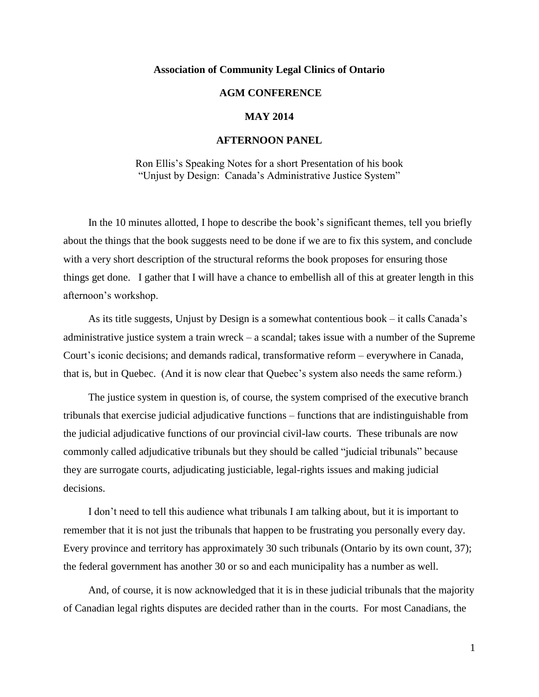### **Association of Community Legal Clinics of Ontario**

# **AGM CONFERENCE**

## **MAY 2014**

## **AFTERNOON PANEL**

Ron Ellis's Speaking Notes for a short Presentation of his book "Unjust by Design: Canada's Administrative Justice System"

In the 10 minutes allotted, I hope to describe the book's significant themes, tell you briefly about the things that the book suggests need to be done if we are to fix this system, and conclude with a very short description of the structural reforms the book proposes for ensuring those things get done. I gather that I will have a chance to embellish all of this at greater length in this afternoon's workshop.

As its title suggests, Unjust by Design is a somewhat contentious book – it calls Canada's administrative justice system a train wreck – a scandal; takes issue with a number of the Supreme Court's iconic decisions; and demands radical, transformative reform – everywhere in Canada, that is, but in Quebec. (And it is now clear that Quebec's system also needs the same reform.)

The justice system in question is, of course, the system comprised of the executive branch tribunals that exercise judicial adjudicative functions – functions that are indistinguishable from the judicial adjudicative functions of our provincial civil-law courts. These tribunals are now commonly called adjudicative tribunals but they should be called "judicial tribunals" because they are surrogate courts, adjudicating justiciable, legal-rights issues and making judicial decisions.

I don't need to tell this audience what tribunals I am talking about, but it is important to remember that it is not just the tribunals that happen to be frustrating you personally every day. Every province and territory has approximately 30 such tribunals (Ontario by its own count, 37); the federal government has another 30 or so and each municipality has a number as well.

And, of course, it is now acknowledged that it is in these judicial tribunals that the majority of Canadian legal rights disputes are decided rather than in the courts. For most Canadians, the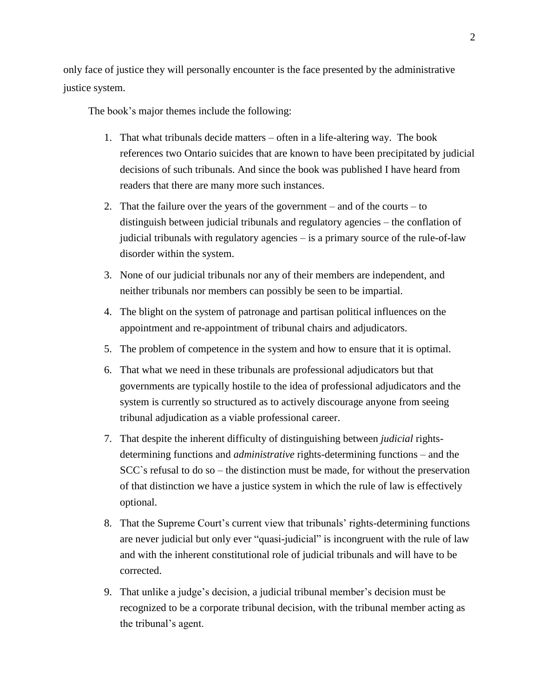only face of justice they will personally encounter is the face presented by the administrative justice system.

The book's major themes include the following:

- 1. That what tribunals decide matters often in a life-altering way. The book references two Ontario suicides that are known to have been precipitated by judicial decisions of such tribunals. And since the book was published I have heard from readers that there are many more such instances.
- 2. That the failure over the years of the government and of the courts to distinguish between judicial tribunals and regulatory agencies – the conflation of judicial tribunals with regulatory agencies – is a primary source of the rule-of-law disorder within the system.
- 3. None of our judicial tribunals nor any of their members are independent, and neither tribunals nor members can possibly be seen to be impartial.
- 4. The blight on the system of patronage and partisan political influences on the appointment and re-appointment of tribunal chairs and adjudicators.
- 5. The problem of competence in the system and how to ensure that it is optimal.
- 6. That what we need in these tribunals are professional adjudicators but that governments are typically hostile to the idea of professional adjudicators and the system is currently so structured as to actively discourage anyone from seeing tribunal adjudication as a viable professional career.
- 7. That despite the inherent difficulty of distinguishing between *judicial* rightsdetermining functions and *administrative* rights-determining functions – and the SCC`s refusal to do so – the distinction must be made, for without the preservation of that distinction we have a justice system in which the rule of law is effectively optional.
- 8. That the Supreme Court's current view that tribunals' rights-determining functions are never judicial but only ever "quasi-judicial" is incongruent with the rule of law and with the inherent constitutional role of judicial tribunals and will have to be corrected.
- 9. That unlike a judge's decision, a judicial tribunal member's decision must be recognized to be a corporate tribunal decision, with the tribunal member acting as the tribunal's agent.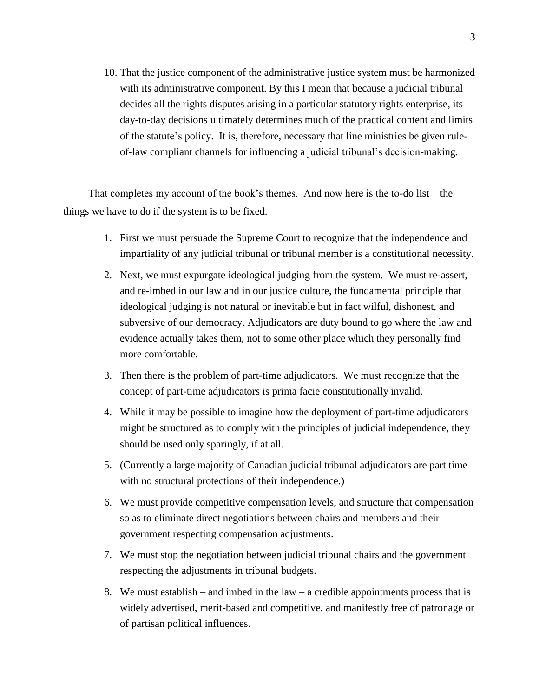10. That the justice component of the administrative justice system must be harmonized with its administrative component. By this I mean that because a judicial tribunal decides all the rights disputes arising in a particular statutory rights enterprise, its day-to-day decisions ultimately determines much of the practical content and limits of the statute's policy. It is, therefore, necessary that line ministries be given ruleof-law compliant channels for influencing a judicial tribunal's decision-making.

That completes my account of the book's themes. And now here is the to-do list – the things we have to do if the system is to be fixed.

- 1. First we must persuade the Supreme Court to recognize that the independence and impartiality of any judicial tribunal or tribunal member is a constitutional necessity.
- 2. Next, we must expurgate ideological judging from the system. We must re-assert, and re-imbed in our law and in our justice culture, the fundamental principle that ideological judging is not natural or inevitable but in fact wilful, dishonest, and subversive of our democracy. Adjudicators are duty bound to go where the law and evidence actually takes them, not to some other place which they personally find more comfortable.
- 3. Then there is the problem of part-time adjudicators. We must recognize that the concept of part-time adjudicators is prima facie constitutionally invalid.
- 4. While it may be possible to imagine how the deployment of part-time adjudicators might be structured as to comply with the principles of judicial independence, they should be used only sparingly, if at all.
- 5. (Currently a large majority of Canadian judicial tribunal adjudicators are part time with no structural protections of their independence.)
- 6. We must provide competitive compensation levels, and structure that compensation so as to eliminate direct negotiations between chairs and members and their government respecting compensation adjustments.
- 7. We must stop the negotiation between judicial tribunal chairs and the government respecting the adjustments in tribunal budgets.
- 8. We must establish and imbed in the law a credible appointments process that is widely advertised, merit-based and competitive, and manifestly free of patronage or of partisan political influences.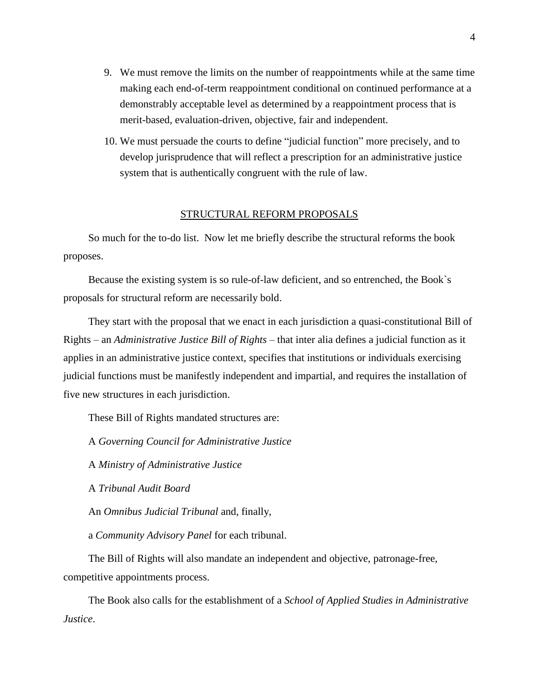- 9. We must remove the limits on the number of reappointments while at the same time making each end-of-term reappointment conditional on continued performance at a demonstrably acceptable level as determined by a reappointment process that is merit-based, evaluation-driven, objective, fair and independent.
- 10. We must persuade the courts to define "judicial function" more precisely, and to develop jurisprudence that will reflect a prescription for an administrative justice system that is authentically congruent with the rule of law.

### STRUCTURAL REFORM PROPOSALS

So much for the to-do list. Now let me briefly describe the structural reforms the book proposes.

Because the existing system is so rule-of-law deficient, and so entrenched, the Book`s proposals for structural reform are necessarily bold.

They start with the proposal that we enact in each jurisdiction a quasi-constitutional Bill of Rights – an *Administrative Justice Bill of Rights –* that inter alia defines a judicial function as it applies in an administrative justice context, specifies that institutions or individuals exercising judicial functions must be manifestly independent and impartial, and requires the installation of five new structures in each jurisdiction.

These Bill of Rights mandated structures are:

A *Governing Council for Administrative Justice*

A *Ministry of Administrative Justice*

A *Tribunal Audit Board*

An *Omnibus Judicial Tribunal* and, finally,

a *Community Advisory Panel* for each tribunal.

The Bill of Rights will also mandate an independent and objective, patronage-free, competitive appointments process.

The Book also calls for the establishment of a *School of Applied Studies in Administrative Justice*.